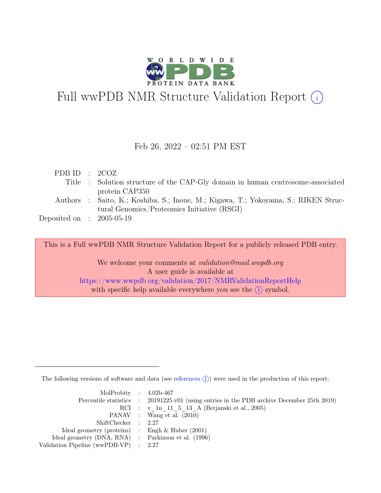

# Full wwPDB NMR Structure Validation Report (i)

#### Feb 26, 2022 – 02:51 PM EST

| PDB ID : $2COZ$             |                                                                                     |
|-----------------------------|-------------------------------------------------------------------------------------|
|                             | Title : Solution structure of the CAP-Gly domain in human centrosome-associated     |
|                             | protein CAP350                                                                      |
|                             | Authors : Saito, K.; Koshiba, S.; Inoue, M.; Kigawa, T.; Yokoyama, S.; RIKEN Struc- |
|                             | tural Genomics/Proteomics Initiative (RSGI)                                         |
| Deposited on : $2005-05-19$ |                                                                                     |

This is a Full wwPDB NMR Structure Validation Report for a publicly released PDB entry.

We welcome your comments at *validation@mail.wwpdb.org* A user guide is available at <https://www.wwpdb.org/validation/2017/NMRValidationReportHelp> with specific help available everywhere you see the  $(i)$  symbol.

The following versions of software and data (see [references](https://www.wwpdb.org/validation/2017/NMRValidationReportHelp#references)  $\hat{I}$ ) were used in the production of this report:

| MolProbity : $4.02b-467$                            |                                                                                            |
|-----------------------------------------------------|--------------------------------------------------------------------------------------------|
|                                                     | Percentile statistics : 20191225.v01 (using entries in the PDB archive December 25th 2019) |
|                                                     | RCI : v 1n 11 5 13 A (Berjanski et al., 2005)                                              |
|                                                     | PANAV : Wang et al. (2010)                                                                 |
| ShiftChecker : 2.27                                 |                                                                                            |
| Ideal geometry (proteins) : Engh $\&$ Huber (2001)  |                                                                                            |
| Ideal geometry (DNA, RNA) : Parkinson et al. (1996) |                                                                                            |
| Validation Pipeline (wwPDB-VP) : $2.27$             |                                                                                            |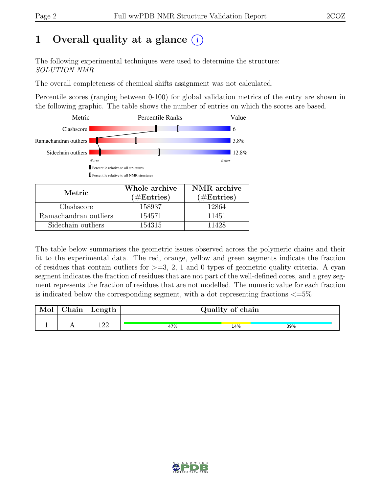# 1 Overall quality at a glance  $(i)$

The following experimental techniques were used to determine the structure: SOLUTION NMR

The overall completeness of chemical shifts assignment was not calculated.

Percentile scores (ranging between 0-100) for global validation metrics of the entry are shown in the following graphic. The table shows the number of entries on which the scores are based.



| Metric.               | Whole archive<br>$(\#Entries)$ | NMR archive<br>$(\#Entries)$ |
|-----------------------|--------------------------------|------------------------------|
|                       |                                |                              |
| Clashscore            | 158937                         | 12864                        |
| Ramachandran outliers | 154571                         | 11451                        |
| Sidechain outliers    | 154315                         | 11428                        |

The table below summarises the geometric issues observed across the polymeric chains and their fit to the experimental data. The red, orange, yellow and green segments indicate the fraction of residues that contain outliers for  $>=$  3, 2, 1 and 0 types of geometric quality criteria. A cyan segment indicates the fraction of residues that are not part of the well-defined cores, and a grey segment represents the fraction of residues that are not modelled. The numeric value for each fraction is indicated below the corresponding segment, with a dot representing fractions  $\langle=5\%$ 

| Mol | ${\rm Chain}$ | Length      |     | Quality of chain |     |
|-----|---------------|-------------|-----|------------------|-----|
|     |               | 1 ດດ<br>-44 | 47% | 14%              | 39% |

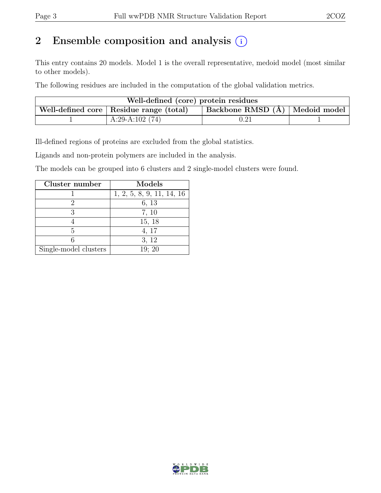# 2 Ensemble composition and analysis  $(i)$

This entry contains 20 models. Model 1 is the overall representative, medoid model (most similar to other models).

The following residues are included in the computation of the global validation metrics.

| Well-defined (core) protein residues |                                           |                                |  |  |  |  |  |  |  |  |  |
|--------------------------------------|-------------------------------------------|--------------------------------|--|--|--|--|--|--|--|--|--|
|                                      | Well-defined core   Residue range (total) | Backbone RMSD (Å) Medoid model |  |  |  |  |  |  |  |  |  |
|                                      | A:29-A:102 $(74)$                         |                                |  |  |  |  |  |  |  |  |  |

Ill-defined regions of proteins are excluded from the global statistics.

Ligands and non-protein polymers are included in the analysis.

The models can be grouped into 6 clusters and 2 single-model clusters were found.

| Cluster number        | Models                    |
|-----------------------|---------------------------|
|                       | 1, 2, 5, 8, 9, 11, 14, 16 |
|                       | 6, 13                     |
| 3                     | 7, 10                     |
|                       | 15, 18                    |
| 5                     | 4, 17                     |
|                       | 3, 12                     |
| Single-model clusters | 19; 20                    |

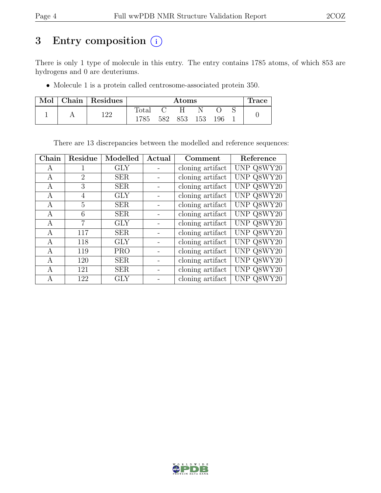# 3 Entry composition (i)

There is only 1 type of molecule in this entry. The entry contains 1785 atoms, of which 853 are hydrogens and 0 are deuteriums.

• Molecule 1 is a protein called centrosome-associated protein 350.

| Mol | Chain   Residues |                |     | $\rm{Atoms}$ |     |     | <b>Trace</b> |
|-----|------------------|----------------|-----|--------------|-----|-----|--------------|
|     | 1 ດດ             | $_{\rm Total}$ |     |              |     |     |              |
|     |                  | 1785           | 582 | 853          | 153 | 196 |              |

There are 13 discrepancies between the modelled and reference sequences:

| Chain | Residue        | Modelled   | Actual | Comment          | Reference  |
|-------|----------------|------------|--------|------------------|------------|
| A     | 1              | GLY        |        | cloning artifact | UNP Q8WY20 |
| А     | $\overline{2}$ | <b>SER</b> |        | cloning artifact | UNP Q8WY20 |
| A     | 3              | <b>SER</b> |        | cloning artifact | UNP Q8WY20 |
| A     | 4              | GLY        |        | cloning artifact | UNP Q8WY20 |
| А     | 5              | <b>SER</b> |        | cloning artifact | UNP Q8WY20 |
| A     | 6              | <b>SER</b> |        | cloning artifact | UNP Q8WY20 |
| А     | $\overline{7}$ | GLY        |        | cloning artifact | UNP Q8WY20 |
| А     | 117            | <b>SER</b> |        | cloning artifact | UNP Q8WY20 |
| A     | 118            | <b>GLY</b> |        | cloning artifact | UNP Q8WY20 |
| А     | 119            | <b>PRO</b> |        | cloning artifact | UNP Q8WY20 |
| А     | 120            | <b>SER</b> |        | cloning artifact | UNP Q8WY20 |
| А     | 121            | <b>SER</b> |        | cloning artifact | UNP Q8WY20 |
| А     | 122            | GLY        |        | cloning artifact | UNP Q8WY20 |

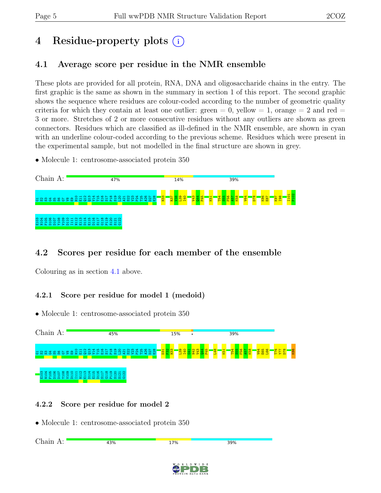# 4 Residue-property plots (i)

### <span id="page-4-0"></span>4.1 Average score per residue in the NMR ensemble

These plots are provided for all protein, RNA, DNA and oligosaccharide chains in the entry. The first graphic is the same as shown in the summary in section 1 of this report. The second graphic shows the sequence where residues are colour-coded according to the number of geometric quality criteria for which they contain at least one outlier:  $green = 0$ ,  $yellow = 1$ ,  $orange = 2$  and  $red =$ 3 or more. Stretches of 2 or more consecutive residues without any outliers are shown as green connectors. Residues which are classified as ill-defined in the NMR ensemble, are shown in cyan with an underline colour-coded according to the previous scheme. Residues which were present in the experimental sample, but not modelled in the final structure are shown in grey.

• Molecule 1: centrosome-associated protein 350



### 4.2 Scores per residue for each member of the ensemble

Colouring as in section [4.1](#page-4-0) above.

#### 4.2.1 Score per residue for model 1 (medoid)

• Molecule 1: centrosome-associated protein 350



#### 4.2.2 Score per residue for model 2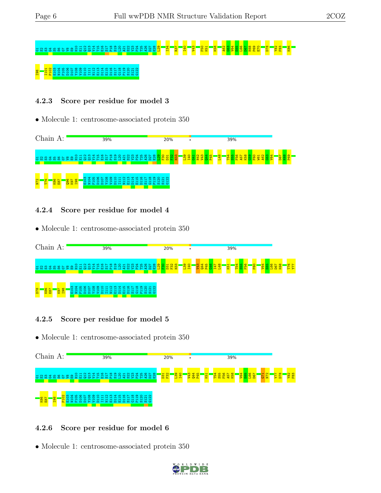# G1S2S3G4S5S6G7V8E9H10 E11 Q12 Q13 V14 T15 E16 S17 P18 S19 L20 A21 S22 V23 P24 T25 A26 D27 E28 L29 I34 R37 I40 V43 F50 K51 K58 A62 G63 V64 E65 L66 D67 K68 P69 E70 D78 Y82 F83 K86 **IP88 I101 P102 P102 P102 P10**<br>B22 B111 B111 B111 B110 B11

#### 4.2.3 Score per residue for model 3

• Molecule 1: centrosome-associated protein 350



#### 4.2.4 Score per residue for model 4

• Molecule 1: centrosome-associated protein 350



#### 4.2.5 Score per residue for model 5

 $\bullet$  Molecule 1: centrosome-associated protein  $350$ 



#### 4.2.6 Score per residue for model 6

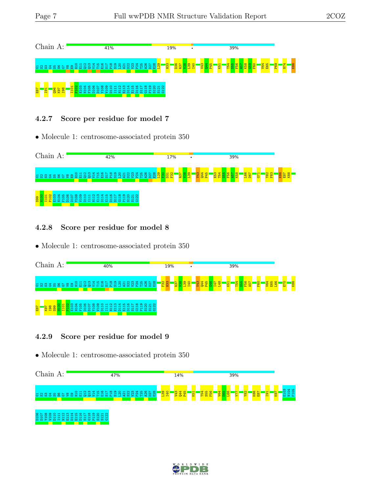| Chain      |                           |           |                     | A:           |   |           |              |        |  |   |          | 41% |  |    |      |            |        |            |   |                                                                            |           | 19% |  |            |  |  |     |  | 39% |  |  |  |                 |  |  |
|------------|---------------------------|-----------|---------------------|--------------|---|-----------|--------------|--------|--|---|----------|-----|--|----|------|------------|--------|------------|---|----------------------------------------------------------------------------|-----------|-----|--|------------|--|--|-----|--|-----|--|--|--|-----------------|--|--|
| <b>223</b> |                           | ₩<br>- 65 | $\overline{r}$<br>m |              | ⇒ |           | O H N M<br>m | ▭      |  | ഥ | <b>O</b> |     |  |    |      |            |        |            |   |                                                                            | <b>PS</b> |     |  | <b>I40</b> |  |  | k51 |  |     |  |  |  | P <sub>69</sub> |  |  |
| <b>E87</b> | $\mathbf{H}$<br><b>PI</b> |           |                     | <b>B</b> 2 8 |   | $\bullet$ | H N          | ≂<br>٠ |  |   |          |     |  | ۰. | -697 | <b>Tyl</b> | $\sim$ | <u>ທ ບ</u> | თ | ន្ត្រ ន្ត្រ<br>$\mathfrak{a}$ $\mathfrak{a}$ $\mathfrak{a}$ $\mathfrak{c}$ |           |     |  |            |  |  |     |  |     |  |  |  |                 |  |  |

#### 4.2.7 Score per residue for model 7

• Molecule 1: centrosome-associated protein 350



#### 4.2.8 Score per residue for model 8

• Molecule 1: centrosome-associated protein 350



#### 4.2.9 Score per residue for model 9



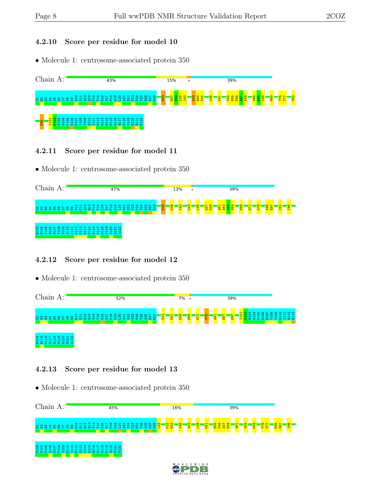#### 4.2.10 Score per residue for model 10

• Molecule 1: centrosome-associated protein 350



- 4.2.11 Score per residue for model 11
- Molecule 1: centrosome-associated protein 350



#### 4.2.12 Score per residue for model 12

• Molecule 1: centrosome-associated protein 350



#### 4.2.13 Score per residue for model 13

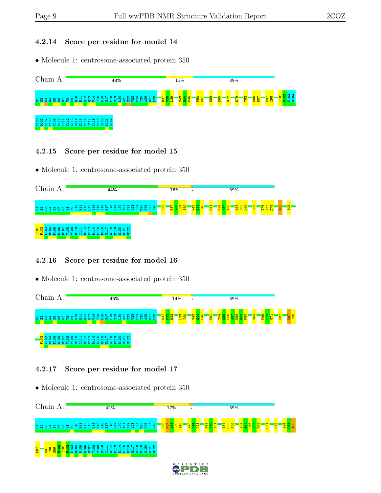#### 4.2.14 Score per residue for model 14

• Molecule 1: centrosome-associated protein 350



#### 4.2.15 Score per residue for model 15

• Molecule 1: centrosome-associated protein 350



#### 4.2.16 Score per residue for model 16

• Molecule 1: centrosome-associated protein 350



#### 4.2.17 Score per residue for model 17

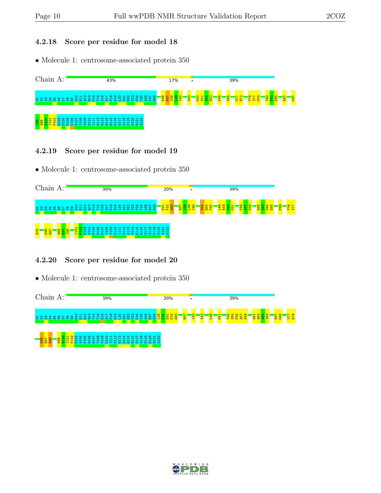#### 4.2.18 Score per residue for model 18

• Molecule 1: centrosome-associated protein 350



- 4.2.19 Score per residue for model 19
- Molecule 1: centrosome-associated protein 350



#### 4.2.20 Score per residue for model 20



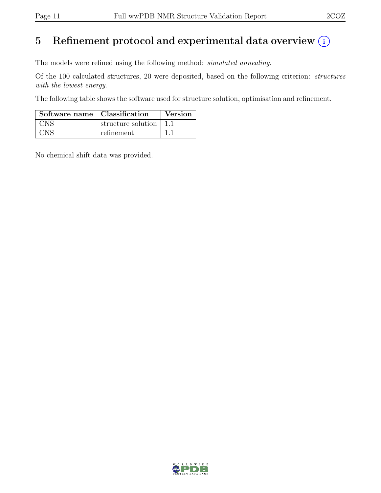## 5 Refinement protocol and experimental data overview  $(i)$

The models were refined using the following method: simulated annealing.

Of the 100 calculated structures, 20 were deposited, based on the following criterion: structures with the lowest energy.

The following table shows the software used for structure solution, optimisation and refinement.

| Software name   Classification |                          | Version |
|--------------------------------|--------------------------|---------|
| <b>CNS</b>                     | structure solution   1.1 |         |
| CNS                            | refinement               |         |

No chemical shift data was provided.

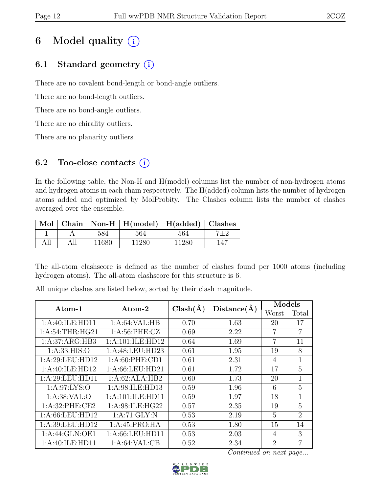# 6 Model quality  $(i)$

### 6.1 Standard geometry  $(i)$

There are no covalent bond-length or bond-angle outliers.

There are no bond-length outliers.

There are no bond-angle outliers.

There are no chirality outliers.

There are no planarity outliers.

### 6.2 Too-close contacts  $(i)$

In the following table, the Non-H and H(model) columns list the number of non-hydrogen atoms and hydrogen atoms in each chain respectively. The H(added) column lists the number of hydrogen atoms added and optimized by MolProbity. The Clashes column lists the number of clashes averaged over the ensemble.

|     |     |       | Mol   Chain   Non-H   H(model)   H(added)   Clashes |       |     |
|-----|-----|-------|-----------------------------------------------------|-------|-----|
|     |     | 584   | 564                                                 | 564   |     |
| All | All | 11680 | 11280                                               | 11280 | 147 |

The all-atom clashscore is defined as the number of clashes found per 1000 atoms (including hydrogen atoms). The all-atom clashscore for this structure is 6.

| $\rm{Atom}\textrm{-}1$ | Atom-2             | $Clash(\AA)$ | Distance(A) | Models         |                |  |  |
|------------------------|--------------------|--------------|-------------|----------------|----------------|--|--|
|                        |                    |              |             | Worst          | Total          |  |  |
| 1:A:40:ILE:HD11        | 1: A:64:VAL:HB     | 0.70         | 1.63        | 20             | 17             |  |  |
| 1: A:54:THR:HG21       | 1: A:56: PHE: CZ   | 0.69         | 2.22        | 7              | $\overline{7}$ |  |  |
| 1:A:37:ARG:HB3         | 1:A:101:ILE:HD12   | 0.64         | 1.69        | $\overline{7}$ | 11             |  |  |
| 1: A: 33: HIS: O       | 1:A:48:LEU:HD23    | 0.61         | 1.95        | 19             | 8              |  |  |
| 1:A:29:LEU:HD12        | 1: A:60: PHE:CD1   | 0.61         | 2.31        | $\overline{4}$ | 1              |  |  |
| 1:A:40:ILE:HD12        | 1:A:66:LEU:HD21    | 0.61         | 1.72        | 17             | 5              |  |  |
| 1:A:29:LEU:HDI1        | 1:A:62:ALA:HB2     | 0.60         | 1.73        | 20             | 1              |  |  |
| 1: A:97: LYS:O         | 1:A:98:ILE:HD13    | 0.59         | 1.96        | 6              | 5              |  |  |
| 1: A:38: VAL:O         | 1:A:101:ILE:HD11   | 0.59         | 1.97        | 18             | $\mathbf{1}$   |  |  |
| 1:A:32:PHE:CE2         | 1: A:98: ILE: HG22 | 0.57         | 2.35        | 19             | 5              |  |  |
| 1:A:66:LEU:HD12        | 1: A:71: GLY:N     | 0.53         | 2.19        | 5              | $\overline{2}$ |  |  |
| 1:A:39:LEU:HD12        | 1:A:45:PRO:HA      | 0.53         | 1.80        | 15             | 14             |  |  |
| 1:A:44:GLN:OE1         | 1: A:66:LEU:HD11   | 0.53         | 2.03        | 4              | 3              |  |  |
| 1:A:40:ILE:HD11        | 1: A:64:VAL:CB     | 0.52         | 2.34        | $\overline{2}$ | $\overline{7}$ |  |  |

All unique clashes are listed below, sorted by their clash magnitude.

Continued on next page...

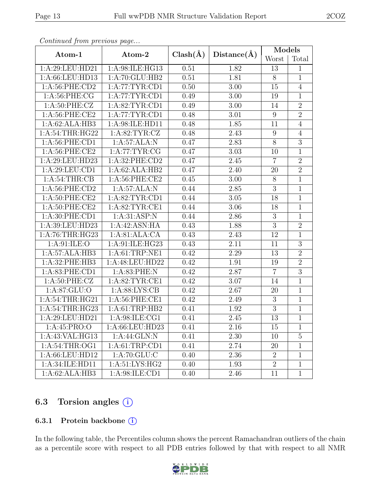|                    |                   |              |             | Models           |                |
|--------------------|-------------------|--------------|-------------|------------------|----------------|
| Atom-1             | Atom-2            | $Clash(\AA)$ | Distance(A) | Worst            | Total          |
| 1:A:29:LEU:HD21    | 1:A:98:ILE:HG13   | 0.51         | 1.82        | 13               | $\mathbf{1}$   |
| 1:A:66:LEU:HD13    | 1: A:70: GLU:HB2  | 0.51         | 1.81        | 8                | $\mathbf{1}$   |
| 1:A:56:PHE:CD2     | 1:A:77:TYR:CD1    | 0.50         | 3.00        | 15               | $\overline{4}$ |
| $1: A:56:$ PHE:CG  | 1: A:77: TYR: CD1 | 0.49         | $3.00\,$    | 19               | $\overline{1}$ |
| 1: A:50: PHE: CZ   | 1: A:82: TYR: CD1 | 0.49         | 3.00        | 14               | $\sqrt{2}$     |
| 1:A:56:PHE:CE2     | 1: A:77:TYR:CD1   | 0.48         | 3.01        | $\boldsymbol{9}$ | $\overline{2}$ |
| 1:A:62:ALA:HB3     | 1:A:98:ILE:HD11   | 0.48         | 1.85        | 11               | $\overline{4}$ |
| 1:A:54:THR:HG22    | 1: A:82:TYR:CZ    | 0.48         | 2.43        | $\boldsymbol{9}$ | $\overline{4}$ |
| 1:A:56:PHE:CD1     | 1:A:57:ALA:N      | 0.47         | 2.83        | $\overline{8}$   | $\overline{3}$ |
| 1: A:56: PHE:CE2   | 1: A:77: TYR: CG  | 0.47         | $3.03\,$    | 10               | $\mathbf 1$    |
| 1:A:29:LEU:HD23    | 1:A:32:PHE:CD2    | 0.47         | 2.45        | $\overline{7}$   | $\overline{2}$ |
| 1:A:29:LEU:CD1     | 1:A:62:ALA:HB2    | 0.47         | 2.40        | 20               | $\overline{2}$ |
| 1: A:54:THR:CB     | 1:A:56:PHE:CE2    | 0.45         | 3.00        | $8\,$            | $\mathbf{1}$   |
| $1: A:56:$ PHE:CD2 | 1:A:57:ALA:N      | 0.44         | 2.85        | $\overline{3}$   | $\overline{1}$ |
| 1: A:50: PHE:CE2   | 1: A:82:TYR:CD1   | 0.44         | 3.05        | 18               | $\mathbf{1}$   |
| 1: A:50: PHE:CE2   | 1: A:82:TYR:CE1   | 0.44         | 3.06        | 18               | $\mathbf{1}$   |
| 1: A:30: PHE:CD1   | 1: A:31: ASP:N    | 0.44         | 2.86        | 3                | $\mathbf{1}$   |
| 1:A:39:LEU:HD23    | 1:A:42:ASN:HA     | 0.43         | 1.88        | $\overline{3}$   | $\overline{2}$ |
| 1: A:76:THR:HG23   | 1:A:81:ALA:CA     | 0.43         | 2.43        | 12               | $\mathbf{1}$   |
| 1: A:91: ILE: O    | 1:A:91:ILE:HG23   | 0.43         | 2.11        | 11               | 3              |
| 1:A:57:ALA:HB3     | 1:A:61:TRP:NE1    | 0.42         | 2.29        | 13               | $\overline{2}$ |
| 1:A:32:PHE:HB3     | 1:A:48:LEU:HD22   | 0.42         | 1.91        | 19               | $\overline{2}$ |
| 1:A:83:PHE:CD1     | 1:A:83:PHE:N      | 0.42         | 2.87        | $\overline{7}$   | $\overline{3}$ |
| 1: A:50: PHE: CZ   | 1: A:82:TYR:CE1   | 0.42         | 3.07        | 14               | $\mathbf{1}$   |
| 1:A:87:GLU:O       | 1: A:88: LYS: CB  | 0.42         | 2.67        | 20               | $\mathbf{1}$   |
| 1:A:54:THR:HG21    | 1:A:56:PHE:CE1    | 0.42         | 2.49        | $\boldsymbol{3}$ | $\overline{1}$ |
| 1:A:54:THR:HG23    | 1: A:61:TRP:HB2   | 0.41         | 1.92        | $\overline{3}$   | $\mathbf{1}$   |
| 1:A:29:LEU:HD21    | 1:A:98:ILE:CG1    | 0.41         | 2.45        | $\overline{13}$  | $\overline{1}$ |
| 1:A:45:PRO:O       | 1:A:66:LEU:HD23   | 0.41         | 2.16        | 15               | $\mathbf{1}$   |
| 1:A:43:VAL:HG13    | 1:A:44:GLN:N      | 0.41         | 2.30        | 10               | $\overline{5}$ |
| 1:A:54:THR:OG1     | 1: A:61:TRP:CD1   | 0.41         | 2.74        | 20               | $\mathbf 1$    |
| 1:A:66:LEU:HD12    | 1: A:70: GLU: C   | 0.40         | 2.36        | $\overline{2}$   | $\mathbf 1$    |
| 1:A:34:ILE:HD11    | 1: A:51: LYS: HG2 | 0.40         | 1.93        | $\overline{2}$   | $\mathbf{1}$   |
| 1:A:62:ALA:HB3     | 1:A:98:ILE:CD1    | 0.40         | 2.46        | 11               | $\mathbf{1}$   |

Continued from previous page...

### 6.3 Torsion angles (i)

#### 6.3.1 Protein backbone  $(i)$

In the following table, the Percentiles column shows the percent Ramachandran outliers of the chain as a percentile score with respect to all PDB entries followed by that with respect to all NMR

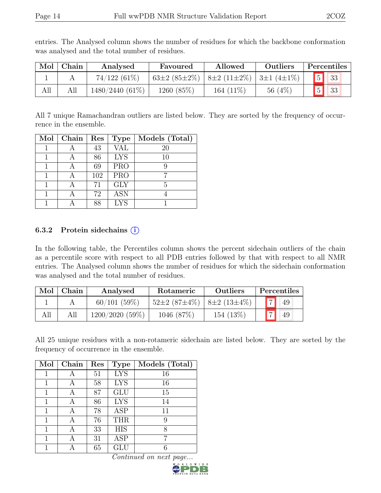| Mol | Chain | Analysed          | Favoured                                | Allowed      | Outliers  | Percentiles   |
|-----|-------|-------------------|-----------------------------------------|--------------|-----------|---------------|
|     |       | $74/122(61\%)$    | 63±2 (85±2%)   8±2 (11±2%)   3±1 (4±1%) |              |           | 5 33          |
| All |       | $1480/2440(61\%)$ | 1260 (85%)                              | 164 $(11\%)$ | 56 $(4%)$ | $\sqrt{5}$ 33 |

entries. The Analysed column shows the number of residues for which the backbone conformation was analysed and the total number of residues.

All 7 unique Ramachandran outliers are listed below. They are sorted by the frequency of occurrence in the ensemble.

| Mol | Chain | Res | <b>Type</b> | Models (Total) |
|-----|-------|-----|-------------|----------------|
|     |       | 43  | VAL         | 20             |
|     |       | 86  | <b>LYS</b>  | 10             |
|     |       | 69  | <b>PRO</b>  |                |
|     |       | 102 | <b>PRO</b>  |                |
|     |       | 71  | <b>GLY</b>  | 5              |
|     |       | 72  | <b>ASN</b>  |                |
|     |       | 88  | <b>LYS</b>  |                |

#### 6.3.2 Protein side chains  $(i)$

In the following table, the Percentiles column shows the percent sidechain outliers of the chain as a percentile score with respect to all PDB entries followed by that with respect to all NMR entries. The Analysed column shows the number of residues for which the sidechain conformation was analysed and the total number of residues.

| Mol | Chain | Analysed       | Rotameric                              | <b>Outliers</b> | Percentiles          |
|-----|-------|----------------|----------------------------------------|-----------------|----------------------|
|     |       | 60/101(59%)    | $52\pm2(87\pm4\%)$   $8\pm2(13\pm4\%)$ |                 | $\overline{7}$<br>49 |
|     |       | 1200/2020(59%) | 1046 (87%)                             | 154 (13%)       | $\rightarrow$<br>49  |

All 25 unique residues with a non-rotameric sidechain are listed below. They are sorted by the frequency of occurrence in the ensemble.

| Mol | Chain | Res | <b>Type</b> | Models (Total) |
|-----|-------|-----|-------------|----------------|
| 1   |       | 51  | <b>LYS</b>  | 16             |
|     |       | 58  | <b>LYS</b>  | 16             |
| 1   | А     | 87  | <b>GLU</b>  | 15             |
| 1   | А     | 86  | <b>LYS</b>  | 14             |
| 1   | А     | 78  | <b>ASP</b>  | 11             |
| 1   |       | 76  | <b>THR</b>  | 9              |
| 1   | А     | 33  | <b>HIS</b>  | 8              |
| 1   | А     | 31  | <b>ASP</b>  | 7              |
|     |       | 65  | GLU         |                |

Continued on next page...

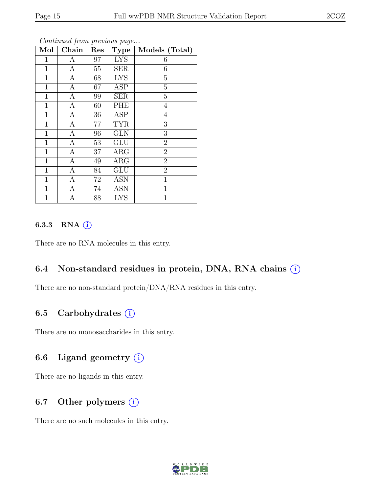| Mol          | Chain            | Res    | <b>Type</b> | Models (Total) |
|--------------|------------------|--------|-------------|----------------|
| 1            | А                | 97     | <b>LYS</b>  | 6              |
| $\mathbf{1}$ | A                | 55     | <b>SER</b>  | 6              |
| $\mathbf{1}$ | $\mathbf{A}$     | 68     | <b>LYS</b>  | $\overline{5}$ |
| $\mathbf 1$  | $\boldsymbol{A}$ | 67     | <b>ASP</b>  | $\overline{5}$ |
| $\mathbf 1$  | $\boldsymbol{A}$ | 99     | <b>SER</b>  | $\overline{5}$ |
| $\mathbf{1}$ | $\boldsymbol{A}$ | 60     | PHE         | $\overline{4}$ |
| $\mathbf{1}$ | A                | 36     | ASP         | $\overline{4}$ |
| $\mathbf 1$  | $\mathbf{A}$     | 77     | <b>TYR</b>  | 3              |
| $\mathbf{1}$ | $\mathbf{A}$     | 96     | <b>GLN</b>  | 3              |
| $\mathbf{1}$ | А                | $53\,$ | <b>GLU</b>  | $\overline{2}$ |
| $\mathbf{1}$ | $\boldsymbol{A}$ | 37     | ARG         | $\overline{2}$ |
| $\mathbf{1}$ | A                | 49     | ARG         | $\overline{2}$ |
| $\mathbf{1}$ | $\boldsymbol{A}$ | 84     | <b>GLU</b>  | $\overline{2}$ |
| $\mathbf 1$  | $\boldsymbol{A}$ | 72     | <b>ASN</b>  | $\mathbf{1}$   |
| $\mathbf{1}$ | $\boldsymbol{A}$ | 74     | <b>ASN</b>  | $\overline{1}$ |
| 1            | А                | 88     | <b>LYS</b>  | 1              |

#### Continued from previous page...

#### 6.3.3 RNA  $(i)$

There are no RNA molecules in this entry.

#### 6.4 Non-standard residues in protein, DNA, RNA chains  $(i)$

There are no non-standard protein/DNA/RNA residues in this entry.

#### 6.5 Carbohydrates  $(i)$

There are no monosaccharides in this entry.

#### 6.6 Ligand geometry  $(i)$

There are no ligands in this entry.

#### 6.7 Other polymers  $(i)$

There are no such molecules in this entry.

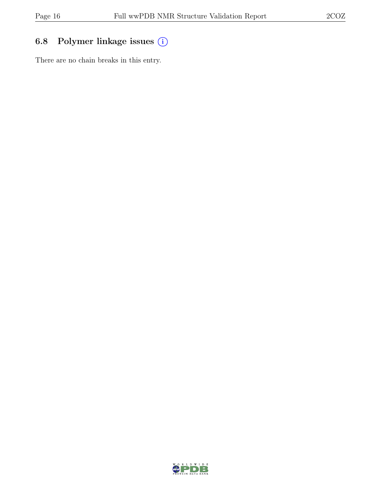### 6.8 Polymer linkage issues (i)

There are no chain breaks in this entry.